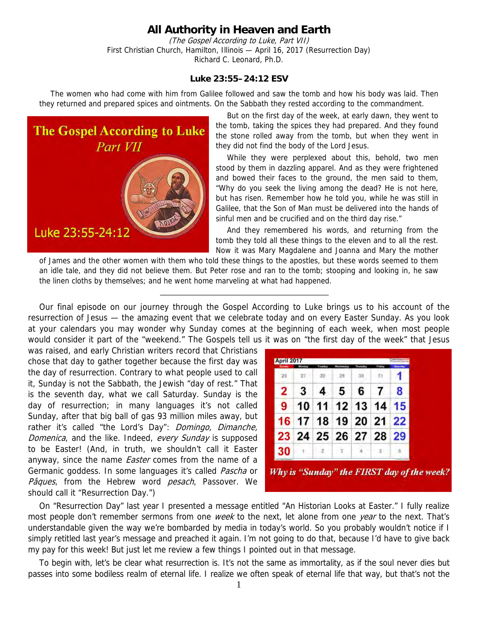## **All Authority in Heaven and Earth**

(The Gospel According to Luke, Part VII) First Christian Church, Hamilton, Illinois — April 16, 2017 (Resurrection Day) Richard C. Leonard, Ph.D.

## **Luke 23:55–24:12 ESV**

The women who had come with him from Galilee followed and saw the tomb and how his body was laid. Then they returned and prepared spices and ointments. On the Sabbath they rested according to the commandment.

## **The Gospel According to Luke** Part VII



But on the first day of the week, at early dawn, they went to the tomb, taking the spices they had prepared. And they found the stone rolled away from the tomb, but when they went in they did not find the body of the Lord Jesus.

While they were perplexed about this, behold, two men stood by them in dazzling apparel. And as they were frightened and bowed their faces to the ground, the men said to them, "Why do you seek the living among the dead? He is not here, but has risen. Remember how he told you, while he was still in Galilee, that the Son of Man must be delivered into the hands of sinful men and be crucified and on the third day rise."

And they remembered his words, and returning from the tomb they told all these things to the eleven and to all the rest. Now it was Mary Magdalene and Joanna and Mary the mother

of James and the other women with them who told these things to the apostles, but these words seemed to them an idle tale, and they did not believe them. But Peter rose and ran to the tomb; stooping and looking in, he saw the linen cloths by themselves; and he went home marveling at what had happened.

\_\_\_\_\_\_\_\_\_\_\_\_\_\_\_\_\_\_\_\_\_\_\_\_\_\_\_\_\_\_\_\_\_\_\_\_

Our final episode on our journey through the Gospel According to Luke brings us to his account of the resurrection of Jesus — the amazing event that we celebrate today and on every Easter Sunday. As you look at your calendars you may wonder why Sunday comes at the beginning of each week, when most people would consider it part of the "weekend." The Gospels tell us it was on "the first day of the week" that Jesus

was raised, and early Christian writers record that Christians chose that day to gather together because the first day was the day of resurrection. Contrary to what people used to call it, Sunday is not the Sabbath, the Jewish "day of rest." That is the seventh day, what we call Saturday. Sunday is the day of resurrection; in many languages it's not called Sunday, after that big ball of gas 93 million miles away, but rather it's called "the Lord's Day": Domingo, Dimanche, Domenica, and the like. Indeed, every Sunday is supposed to be Easter! (And, in truth, we shouldn't call it Easter anyway, since the name *Easter* comes from the name of a Germanic goddess. In some languages it's called *Pascha* or Pâques, from the Hebrew word pesach, Passover. We should call it "Resurrection Day.")

| <b>Statistics</b> | Monday |    |                      | Thursday | Faiday | <b>SANATING</b> |
|-------------------|--------|----|----------------------|----------|--------|-----------------|
| 26                |        | 28 |                      | 30       | 31     |                 |
|                   |        |    | 5.                   | 6        |        |                 |
| 9                 |        |    | 10 11 12 13 14 15    |          |        |                 |
|                   |        |    | 16 17 18 19 20 21 22 |          |        |                 |
|                   |        |    | 23 24 25 26 27 28 29 |          |        |                 |
|                   |        |    |                      |          |        |                 |

Why is "Sunday" the FIRST day of the week?

On "Resurrection Day" last year I presented a message entitled "An Historian Looks at Easter." I fully realize most people don't remember sermons from one *week* to the next, let alone from one *year* to the next. That's understandable given the way we're bombarded by media in today's world. So you probably wouldn't notice if I simply retitled last year's message and preached it again. I'm not going to do that, because I'd have to give back my pay for this week! But just let me review a few things I pointed out in that message.

To begin with, let's be clear what resurrection is. It's not the same as immortality, as if the soul never dies but passes into some bodiless realm of eternal life. I realize we often speak of eternal life that way, but that's not the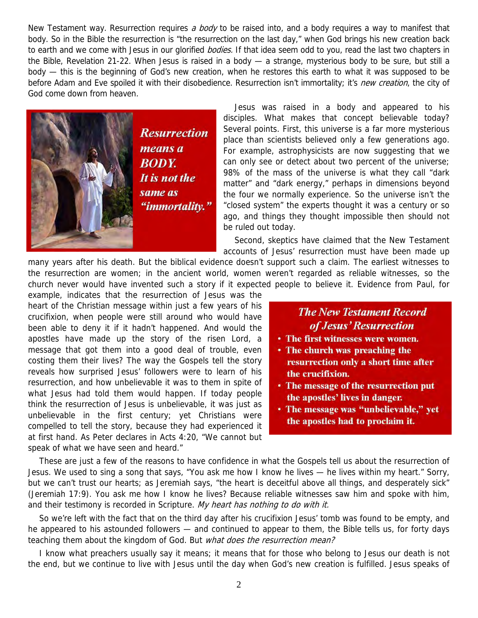New Testament way. Resurrection requires a body to be raised into, and a body requires a way to manifest that body. So in the Bible the resurrection is "the resurrection on the last day," when God brings his new creation back to earth and we come with Jesus in our glorified *bodies*. If that idea seem odd to you, read the last two chapters in the Bible, Revelation 21-22. When Jesus is raised in a body — a strange, mysterious body to be sure, but still a body — this is the beginning of God's new creation, when he restores this earth to what it was supposed to be before Adam and Eve spoiled it with their disobedience. Resurrection isn't immortality; it's new creation, the city of God come down from heaven.



Jesus was raised in a body and appeared to his disciples. What makes that concept believable today? Several points. First, this universe is a far more mysterious place than scientists believed only a few generations ago. For example, astrophysicists are now suggesting that we can only see or detect about two percent of the universe; 98% of the mass of the universe is what they call "dark matter" and "dark energy," perhaps in dimensions beyond the four we normally experience. So the universe isn't the "closed system" the experts thought it was a century or so ago, and things they thought impossible then should not be ruled out today.

Second, skeptics have claimed that the New Testament accounts of Jesus' resurrection must have been made up

many years after his death. But the biblical evidence doesn't support such a claim. The earliest witnesses to the resurrection are women; in the ancient world, women weren't regarded as reliable witnesses, so the church never would have invented such a story if it expected people to believe it. Evidence from Paul, for

example, indicates that the resurrection of Jesus was the heart of the Christian message within just a few years of his crucifixion, when people were still around who would have been able to deny it if it hadn't happened. And would the apostles have made up the story of the risen Lord, a message that got them into a good deal of trouble, even costing them their lives? The way the Gospels tell the story reveals how surprised Jesus' followers were to learn of his resurrection, and how unbelievable it was to them in spite of what Jesus had told them would happen. If today people think the resurrection of Jesus is unbelievable, it was just as unbelievable in the first century; yet Christians were compelled to tell the story, because they had experienced it at first hand. As Peter declares in Acts 4:20, "We cannot but speak of what we have seen and heard."

**The New Testament Record** of Jesus' Resurrection

- The first witnesses were women.
- The church was preaching the resurrection only a short time after the crucifixion.
- The message of the resurrection put the apostles' lives in danger.
- The message was "unbelievable," yet the apostles had to proclaim it.

These are just a few of the reasons to have confidence in what the Gospels tell us about the resurrection of Jesus. We used to sing a song that says, "You ask me how I know he lives — he lives within my heart." Sorry, but we can't trust our hearts; as Jeremiah says, "the heart is deceitful above all things, and desperately sick" (Jeremiah 17:9). You ask me how I know he lives? Because reliable witnesses saw him and spoke with him, and their testimony is recorded in Scripture. My heart has nothing to do with it.

So we're left with the fact that on the third day after his crucifixion Jesus' tomb was found to be empty, and he appeared to his astounded followers — and continued to appear to them, the Bible tells us, for forty days teaching them about the kingdom of God. But what does the resurrection mean?

I know what preachers usually say it means; it means that for those who belong to Jesus our death is not the end, but we continue to live with Jesus until the day when God's new creation is fulfilled. Jesus speaks of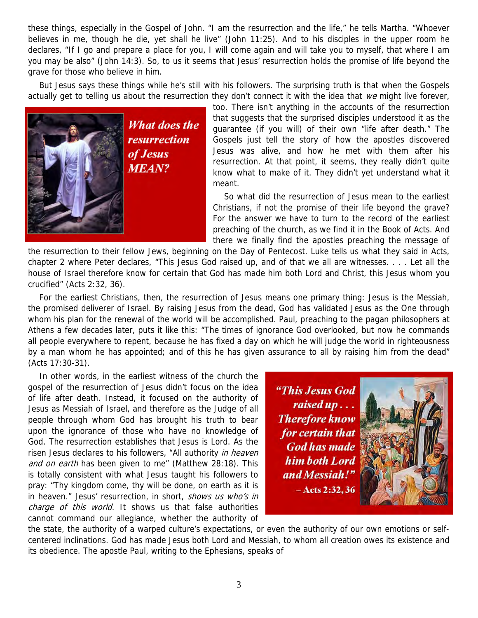these things, especially in the Gospel of John. "I am the resurrection and the life," he tells Martha. "Whoever believes in me, though he die, yet shall he live" (John 11:25). And to his disciples in the upper room he declares, "If I go and prepare a place for you, I will come again and will take you to myself, that where I am you may be also" (John 14:3). So, to us it seems that Jesus' resurrection holds the promise of life beyond the grave for those who believe in him.

But Jesus says these things while he's still with his followers. The surprising truth is that when the Gospels actually get to telling us about the resurrection they don't connect it with the idea that we might live forever,



too. There isn't anything in the accounts of the resurrection that suggests that the surprised disciples understood it as the guarantee (if you will) of their own "life after death." The Gospels just tell the story of how the apostles discovered Jesus was alive, and how he met with them after his resurrection. At that point, it seems, they really didn't quite know what to make of it. They didn't yet understand what it meant.

So what did the resurrection of Jesus mean to the earliest Christians, if not the promise of their life beyond the grave? For the answer we have to turn to the record of the earliest preaching of the church, as we find it in the Book of Acts. And there we finally find the apostles preaching the message of

the resurrection to their fellow Jews, beginning on the Day of Pentecost. Luke tells us what they said in Acts, chapter 2 where Peter declares, "This Jesus God raised up, and of that we all are witnesses. . . . Let all the house of Israel therefore know for certain that God has made him both Lord and Christ, this Jesus whom you crucified" (Acts 2:32, 36).

For the earliest Christians, then, the resurrection of Jesus means one primary thing: Jesus is the Messiah, the promised deliverer of Israel. By raising Jesus from the dead, God has validated Jesus as the One through whom his plan for the renewal of the world will be accomplished. Paul, preaching to the pagan philosophers at Athens a few decades later, puts it like this: "The times of ignorance God overlooked, but now he commands all people everywhere to repent, because he has fixed a day on which he will judge the world in righteousness by a man whom he has appointed; and of this he has given assurance to all by raising him from the dead" (Acts 17:30-31).

In other words, in the earliest witness of the church the gospel of the resurrection of Jesus didn't focus on the idea of life after death. Instead, it focused on the authority of Jesus as Messiah of Israel, and therefore as the Judge of all people through whom God has brought his truth to bear upon the ignorance of those who have no knowledge of God. The resurrection establishes that Jesus is Lord. As the risen Jesus declares to his followers, "All authority in heaven and on earth has been given to me" (Matthew 28:18). This is totally consistent with what Jesus taught his followers to pray: "Thy kingdom come, thy will be done, on earth as it is in heaven." Jesus' resurrection, in short, shows us who's in charge of this world. It shows us that false authorities cannot command our allegiance, whether the authority of





the state, the authority of a warped culture's expectations, or even the authority of our own emotions or selfcentered inclinations. God has made Jesus both Lord and Messiah, to whom all creation owes its existence and its obedience. The apostle Paul, writing to the Ephesians, speaks of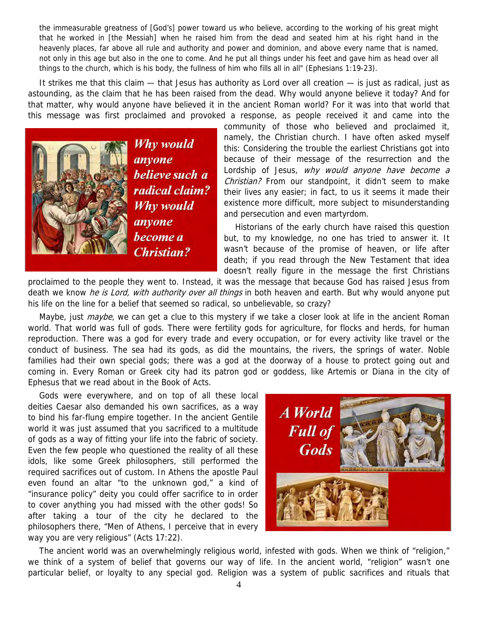the immeasurable greatness of [God's] power toward us who believe, according to the working of his great might that he worked in [the Messiah] when he raised him from the dead and seated him at his right hand in the heavenly places, far above all rule and authority and power and dominion, and above every name that is named, not only in this age but also in the one to come. And he put all things under his feet and gave him as head over all things to the church, which is his body, the fullness of him who fills all in all" (Ephesians 1:19-23).

It strikes me that this claim — that Jesus has authority as Lord over all creation — is just as radical, just as astounding, as the claim that he has been raised from the dead. Why would anyone believe it today? And for that matter, why would anyone have believed it in the ancient Roman world? For it was into that world that this message was first proclaimed and provoked a response, as people received it and came into the



believe such a radical claim? community of those who believed and proclaimed it, namely, the Christian church. I have often asked myself this: Considering the trouble the earliest Christians got into because of their message of the resurrection and the Lordship of Jesus, why would anyone have become a Christian? From our standpoint, it didn't seem to make their lives any easier; in fact, to us it seems it made their existence more difficult, more subject to misunderstanding and persecution and even martyrdom.

Historians of the early church have raised this question but, to my knowledge, no one has tried to answer it. It wasn't because of the promise of heaven, or life after death; if you read through the New Testament that idea doesn't really figure in the message the first Christians

proclaimed to the people they went to. Instead, it was the message that because God has raised Jesus from death we know *he is Lord, with authority over all things* in both heaven and earth. But why would anyone put his life on the line for a belief that seemed so radical, so unbelievable, so crazy?

Maybe, just *maybe*, we can get a clue to this mystery if we take a closer look at life in the ancient Roman world. That world was full of gods. There were fertility gods for agriculture, for flocks and herds, for human reproduction. There was a god for every trade and every occupation, or for every activity like travel or the conduct of business. The sea had its gods, as did the mountains, the rivers, the springs of water. Noble families had their own special gods; there was a god at the doorway of a house to protect going out and coming in. Every Roman or Greek city had its patron god or goddess, like Artemis or Diana in the city of Ephesus that we read about in the Book of Acts.

Gods were everywhere, and on top of all these local deities Caesar also demanded his own sacrifices, as a way to bind his far-flung empire together. In the ancient Gentile world it was just assumed that you sacrificed to a multitude of gods as a way of fitting your life into the fabric of society. Even the few people who questioned the reality of all these idols, like some Greek philosophers, still performed the required sacrifices out of custom. In Athens the apostle Paul even found an altar "to the unknown god," a kind of "insurance policy" deity you could offer sacrifice to in order to cover anything you had missed with the other gods! So after taking a tour of the city he declared to the philosophers there, "Men of Athens, I perceive that in every way you are very religious" (Acts 17:22).



The ancient world was an overwhelmingly religious world, infested with gods. When we think of "religion," we think of a system of belief that governs our way of life. In the ancient world, "religion" wasn't one particular belief, or loyalty to any special god. Religion was a system of public sacrifices and rituals that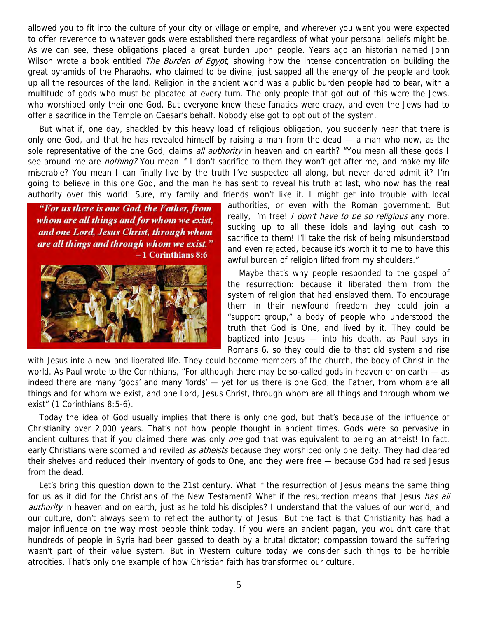allowed you to fit into the culture of your city or village or empire, and wherever you went you were expected to offer reverence to whatever gods were established there regardless of what your personal beliefs might be. As we can see, these obligations placed a great burden upon people. Years ago an historian named John Wilson wrote a book entitled *The Burden of Eqypt*, showing how the intense concentration on building the great pyramids of the Pharaohs, who claimed to be divine, just sapped all the energy of the people and took up all the resources of the land. Religion in the ancient world was a public burden people had to bear, with a multitude of gods who must be placated at every turn. The only people that got out of this were the Jews, who worshiped only their one God. But everyone knew these fanatics were crazy, and even the Jews had to offer a sacrifice in the Temple on Caesar's behalf. Nobody else got to opt out of the system.

But what if, one day, shackled by this heavy load of religious obligation, you suddenly hear that there is only one God, and that he has revealed himself by raising a man from the dead — a man who now, as the sole representative of the one God, claims all authority in heaven and on earth? "You mean all these gods I see around me are *nothing?* You mean if I don't sacrifice to them they won't get after me, and make my life miserable? You mean I can finally live by the truth I've suspected all along, but never dared admit it? I'm going to believe in this one God, and the man he has sent to reveal his truth at last, who now has the real authority over this world! Sure, my family and friends won't like it. I might get into trouble with local

"For us there is one God, the Father, from whom are all things and for whom we exist, and one Lord, Jesus Christ, through whom are all things and through whom we exist." -1 Corinthians 8:6



authorities, or even with the Roman government. But really, I'm free! I don't have to be so religious any more, sucking up to all these idols and laying out cash to sacrifice to them! I'll take the risk of being misunderstood and even rejected, because it's worth it to me to have this awful burden of religion lifted from my shoulders."

Maybe that's why people responded to the gospel of the resurrection: because it liberated them from the system of religion that had enslaved them. To encourage them in their newfound freedom they could join a "support group," a body of people who understood the truth that God is One, and lived by it. They could be baptized into Jesus — into his death, as Paul says in Romans 6, so they could die to that old system and rise

with Jesus into a new and liberated life. They could become members of the church, the body of Christ in the world. As Paul wrote to the Corinthians, "For although there may be so-called gods in heaven or on earth — as indeed there are many 'gods' and many 'lords' — yet for us there is one God, the Father, from whom are all things and for whom we exist, and one Lord, Jesus Christ, through whom are all things and through whom we exist" (1 Corinthians 8:5-6).

Today the idea of God usually implies that there is only one god, but that's because of the influence of Christianity over 2,000 years. That's not how people thought in ancient times. Gods were so pervasive in ancient cultures that if you claimed there was only *one* god that was equivalent to being an atheist! In fact, early Christians were scorned and reviled *as atheists* because they worshiped only one deity. They had cleared their shelves and reduced their inventory of gods to One, and they were free — because God had raised Jesus from the dead.

Let's bring this question down to the 21st century. What if the resurrection of Jesus means the same thing for us as it did for the Christians of the New Testament? What if the resurrection means that Jesus *has all* authority in heaven and on earth, just as he told his disciples? I understand that the values of our world, and our culture, don't always seem to reflect the authority of Jesus. But the fact is that Christianity has had a major influence on the way most people think today. If you were an ancient pagan, you wouldn't care that hundreds of people in Syria had been gassed to death by a brutal dictator; compassion toward the suffering wasn't part of their value system. But in Western culture today we consider such things to be horrible atrocities. That's only one example of how Christian faith has transformed our culture.